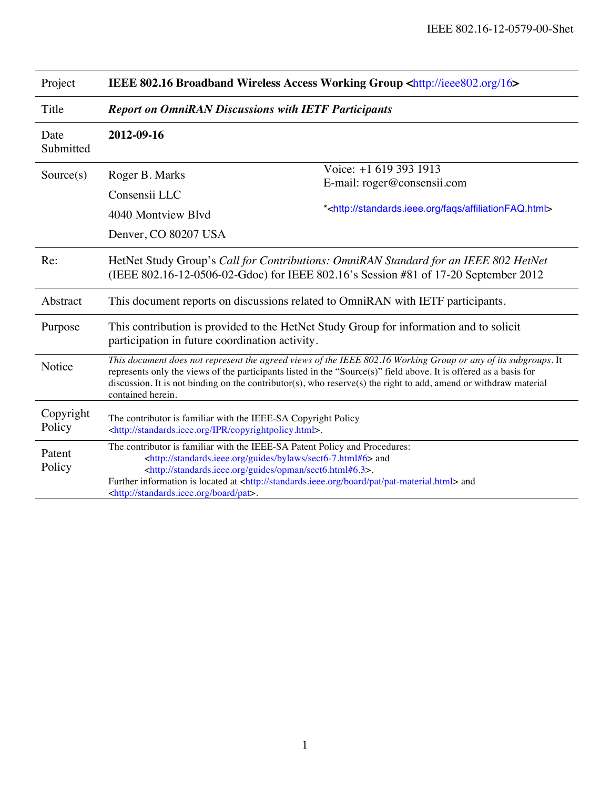| Project             | <b>IEEE 802.16 Broadband Wireless Access Working Group <http: 16="" ieee802.org=""></http:></b>                                                                                                                                                                                                                                                                                                                               |                                                                                                                                 |
|---------------------|-------------------------------------------------------------------------------------------------------------------------------------------------------------------------------------------------------------------------------------------------------------------------------------------------------------------------------------------------------------------------------------------------------------------------------|---------------------------------------------------------------------------------------------------------------------------------|
| Title               | <b>Report on OmniRAN Discussions with IETF Participants</b>                                                                                                                                                                                                                                                                                                                                                                   |                                                                                                                                 |
| Date<br>Submitted   | 2012-09-16                                                                                                                                                                                                                                                                                                                                                                                                                    |                                                                                                                                 |
| Source(s)           | Roger B. Marks<br>Consensii LLC<br>4040 Montview Blvd<br>Denver, CO 80207 USA                                                                                                                                                                                                                                                                                                                                                 | Voice: +1 619 393 1913<br>E-mail: roger@consensii.com<br>* <http: affiliationfaq.html="" faqs="" standards.ieee.org=""></http:> |
| Re:                 | HetNet Study Group's Call for Contributions: OmniRAN Standard for an IEEE 802 HetNet<br>(IEEE 802.16-12-0506-02-Gdoc) for IEEE 802.16's Session #81 of 17-20 September 2012                                                                                                                                                                                                                                                   |                                                                                                                                 |
| Abstract            | This document reports on discussions related to OmniRAN with IETF participants.                                                                                                                                                                                                                                                                                                                                               |                                                                                                                                 |
| Purpose             | This contribution is provided to the HetNet Study Group for information and to solicit<br>participation in future coordination activity.                                                                                                                                                                                                                                                                                      |                                                                                                                                 |
| Notice              | This document does not represent the agreed views of the IEEE 802.16 Working Group or any of its subgroups. It<br>represents only the views of the participants listed in the "Source(s)" field above. It is offered as a basis for<br>discussion. It is not binding on the contributor(s), who reserve(s) the right to add, amend or withdraw material<br>contained herein.                                                  |                                                                                                                                 |
| Copyright<br>Policy | The contributor is familiar with the IEEE-SA Copyright Policy<br><http: copyrightpolicy.html="" ipr="" standards.ieee.org="">.</http:>                                                                                                                                                                                                                                                                                        |                                                                                                                                 |
| Patent<br>Policy    | The contributor is familiar with the IEEE-SA Patent Policy and Procedures:<br><http: bylaws="" guides="" sect6-7.html#6="" standards.ieee.org=""> and<br/><http: guides="" opman="" sect6.html#6.3="" standards.ieee.org="">.<br/>Further information is located at <http: board="" pat="" pat-material.html="" standards.ieee.org=""> and<br/><http: board="" pat="" standards.ieee.org="">.</http:></http:></http:></http:> |                                                                                                                                 |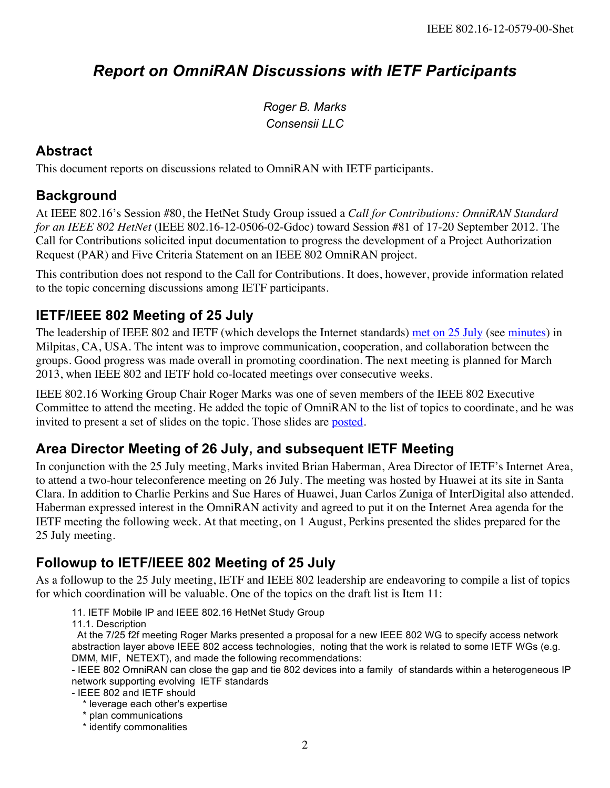# *Report on OmniRAN Discussions with IETF Participants*

*Roger B. Marks Consensii LLC*

#### **Abstract**

This document reports on discussions related to OmniRAN with IETF participants.

#### **Background**

At IEEE 802.16's Session #80, the HetNet Study Group issued a *Call for Contributions: OmniRAN Standard for an IEEE 802 HetNet* (IEEE 802.16-12-0506-02-Gdoc) toward Session #81 of 17-20 September 2012. The Call for Contributions solicited input documentation to progress the development of a Project Authorization Request (PAR) and Five Criteria Statement on an IEEE 802 OmniRAN project.

This contribution does not respond to the Call for Contributions. It does, however, provide information related to the topic concerning discussions among IETF participants.

# **IETF/IEEE 802 Meeting of 25 July**

The leadership of IEEE 802 and IETF (which develops the Internet standards) [met on 25 July](http://www.ietf.org/iesg/ieee/) (see [minutes](http://www.ietf.org/iesg/ieee/minutes-2012-07-25.txt)) in Milpitas, CA, USA. The intent was to improve communication, cooperation, and collaboration between the groups. Good progress was made overall in promoting coordination. The next meeting is planned for March 2013, when IEEE 802 and IETF hold co-located meetings over consecutive weeks.

IEEE 802.16 Working Group Chair Roger Marks was one of seven members of the IEEE 802 Executive Committee to attend the meeting. He added the topic of OmniRAN to the list of topics to coordinate, and he was invited to present a set of slides on the topic. Those slides are [posted.](http://www.ietf.org/iesg/ieee/20120725/IEEE_OmniRAN_IETF.pptx)

# **Area Director Meeting of 26 July, and subsequent IETF Meeting**

In conjunction with the 25 July meeting, Marks invited Brian Haberman, Area Director of IETF's Internet Area, to attend a two-hour teleconference meeting on 26 July. The meeting was hosted by Huawei at its site in Santa Clara. In addition to Charlie Perkins and Sue Hares of Huawei, Juan Carlos Zuniga of InterDigital also attended. Haberman expressed interest in the OmniRAN activity and agreed to put it on the Internet Area agenda for the IETF meeting the following week. At that meeting, on 1 August, Perkins presented the slides prepared for the 25 July meeting.

# **Followup to IETF/IEEE 802 Meeting of 25 July**

As a followup to the 25 July meeting, IETF and IEEE 802 leadership are endeavoring to compile a list of topics for which coordination will be valuable. One of the topics on the draft list is Item 11:

11. IETF Mobile IP and IEEE 802.16 HetNet Study Group

11.1. Description

 At the 7/25 f2f meeting Roger Marks presented a proposal for a new IEEE 802 WG to specify access network abstraction layer above IEEE 802 access technologies, noting that the work is related to some IETF WGs (e.g. DMM, MIF, NETEXT), and made the following recommendations:

- IEEE 802 OmniRAN can close the gap and tie 802 devices into a family of standards within a heterogeneous IP network supporting evolving IETF standards

- IEEE 802 and IETF should
	- \* leverage each other's expertise
	- \* plan communications
	- \* identify commonalities